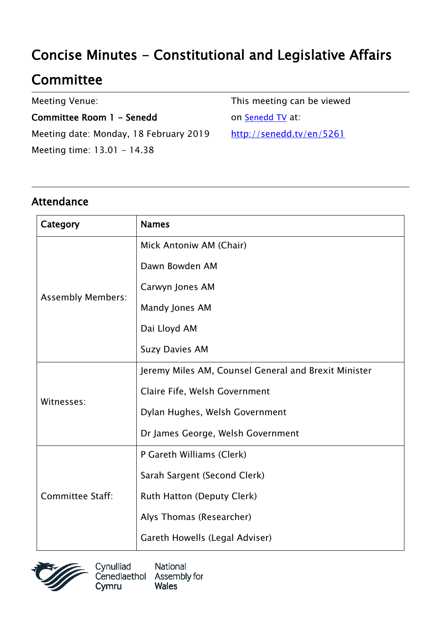# Concise Minutes - Constitutional and Legislative Affairs

# **Committee**

Meeting Venue:

Committee Room 1 - Senedd Meeting date: Monday, 18 February 2019 Meeting time: 13.01 - 14.38

This meeting can be viewed on [Senedd TV](http://senedd.tv/) at: http://senedd.tv/en/5261

#### Attendance

| Category                 | <b>Names</b>                                         |
|--------------------------|------------------------------------------------------|
| <b>Assembly Members:</b> | Mick Antoniw AM (Chair)                              |
|                          | Dawn Bowden AM                                       |
|                          | Carwyn Jones AM                                      |
|                          | Mandy Jones AM                                       |
|                          | Dai Lloyd AM                                         |
|                          | <b>Suzy Davies AM</b>                                |
| Witnesses:               | Jeremy Miles AM, Counsel General and Brexit Minister |
|                          | Claire Fife, Welsh Government                        |
|                          | Dylan Hughes, Welsh Government                       |
|                          | Dr James George, Welsh Government                    |
| Committee Staff:         | P Gareth Williams (Clerk)                            |
|                          | Sarah Sargent (Second Clerk)                         |
|                          | Ruth Hatton (Deputy Clerk)                           |
|                          | Alys Thomas (Researcher)                             |
|                          | Gareth Howells (Legal Adviser)                       |



Cynulliad National Cenedlaethol Assembly for **Wales** Cymru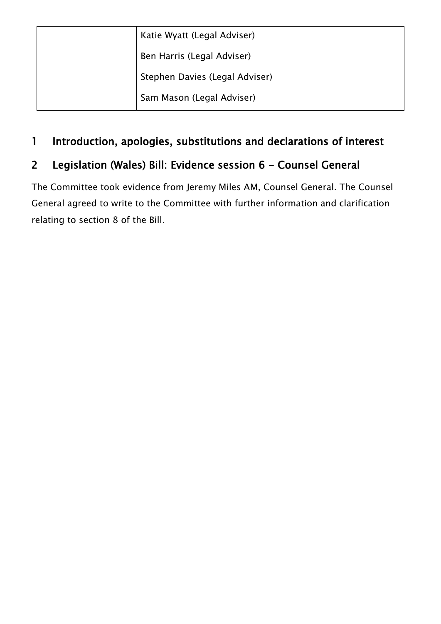| Katie Wyatt (Legal Adviser)    |
|--------------------------------|
| Ben Harris (Legal Adviser)     |
| Stephen Davies (Legal Adviser) |
| Sam Mason (Legal Adviser)      |

#### 1 Introduction, apologies, substitutions and declarations of interest

### 2 Legislation (Wales) Bill: Evidence session 6 - Counsel General

The Committee took evidence from Jeremy Miles AM, Counsel General. The Counsel General agreed to write to the Committee with further information and clarification relating to section 8 of the Bill.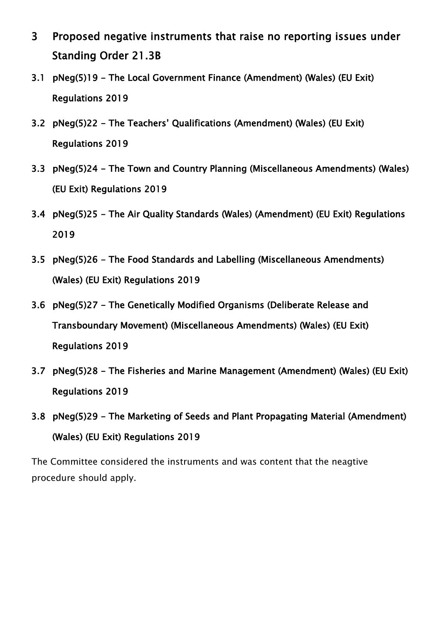- 3 Proposed negative instruments that raise no reporting issues under Standing Order 21.3B
- 3.1 pNeg(5)19 The Local Government Finance (Amendment) (Wales) (EU Exit) Regulations 2019
- 3.2 pNeg(5)22 The Teachers' Qualifications (Amendment) (Wales) (EU Exit) Regulations 2019
- 3.3 pNeg(5)24 The Town and Country Planning (Miscellaneous Amendments) (Wales) (EU Exit) Regulations 2019
- 3.4 pNeg(5)25 The Air Quality Standards (Wales) (Amendment) (EU Exit) Regulations 2019
- 3.5 pNeg(5)26 The Food Standards and Labelling (Miscellaneous Amendments) (Wales) (EU Exit) Regulations 2019
- 3.6 pNeg(5)27 The Genetically Modified Organisms (Deliberate Release and Transboundary Movement) (Miscellaneous Amendments) (Wales) (EU Exit) Regulations 2019
- 3.7 pNeg(5)28 The Fisheries and Marine Management (Amendment) (Wales) (EU Exit) Regulations 2019
- 3.8 pNeg(5)29 The Marketing of Seeds and Plant Propagating Material (Amendment) (Wales) (EU Exit) Regulations 2019

The Committee considered the instruments and was content that the neagtive procedure should apply.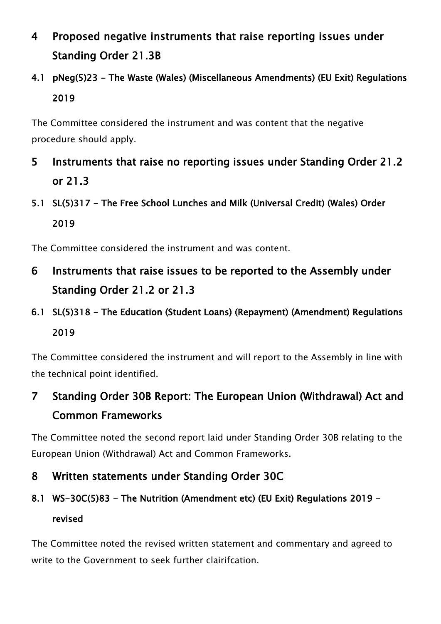- 4 Proposed negative instruments that raise reporting issues under Standing Order 21.3B
- 4.1 pNeg(5)23 The Waste (Wales) (Miscellaneous Amendments) (EU Exit) Regulations 2019

The Committee considered the instrument and was content that the negative procedure should apply.

- 5 Instruments that raise no reporting issues under Standing Order 21.2 or 21.3
- 5.1 SL(5)317 The Free School Lunches and Milk (Universal Credit) (Wales) Order 2019

The Committee considered the instrument and was content.

- 6 Instruments that raise issues to be reported to the Assembly under Standing Order 21.2 or 21.3
- 6.1 SL(5)318 The Education (Student Loans) (Repayment) (Amendment) Regulations 2019

The Committee considered the instrument and will report to the Assembly in line with the technical point identified.

7 Standing Order 30B Report: The European Union (Withdrawal) Act and Common Frameworks

The Committee noted the second report laid under Standing Order 30B relating to the European Union (Withdrawal) Act and Common Frameworks.

- 8 Written statements under Standing Order 30C
- 8.1 WS-30C(5)83 The Nutrition (Amendment etc) (EU Exit) Regulations 2019 revised

The Committee noted the revised written statement and commentary and agreed to write to the Government to seek further clairifcation.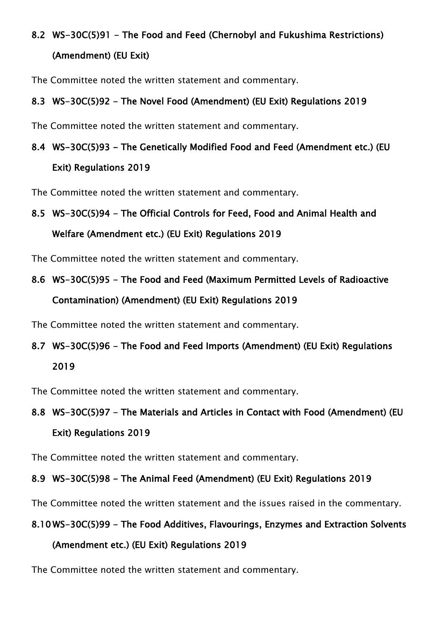# 8.2 WS-30C(5)91 - The Food and Feed (Chernobyl and Fukushima Restrictions)

#### (Amendment) (EU Exit)

The Committee noted the written statement and commentary.

#### 8.3 WS-30C(5)92 - The Novel Food (Amendment) (EU Exit) Regulations 2019

The Committee noted the written statement and commentary.

### 8.4 WS-30C(5)93 - The Genetically Modified Food and Feed (Amendment etc.) (EU Exit) Regulations 2019

The Committee noted the written statement and commentary.

## 8.5 WS-30C(5)94 - The Official Controls for Feed, Food and Animal Health and Welfare (Amendment etc.) (EU Exit) Regulations 2019

The Committee noted the written statement and commentary.

# 8.6 WS-30C(5)95 - The Food and Feed (Maximum Permitted Levels of Radioactive

Contamination) (Amendment) (EU Exit) Regulations 2019

The Committee noted the written statement and commentary.

# 8.7 WS-30C(5)96 - The Food and Feed Imports (Amendment) (EU Exit) Regulations 2019

The Committee noted the written statement and commentary.

## 8.8 WS-30C(5)97 - The Materials and Articles in Contact with Food (Amendment) (EU Exit) Regulations 2019

The Committee noted the written statement and commentary.

#### 8.9 WS-30C(5)98 - The Animal Feed (Amendment) (EU Exit) Regulations 2019

The Committee noted the written statement and the issues raised in the commentary.

#### 8.10 WS-30C(5)99 - The Food Additives, Flavourings, Enzymes and Extraction Solvents

#### (Amendment etc.) (EU Exit) Regulations 2019

The Committee noted the written statement and commentary.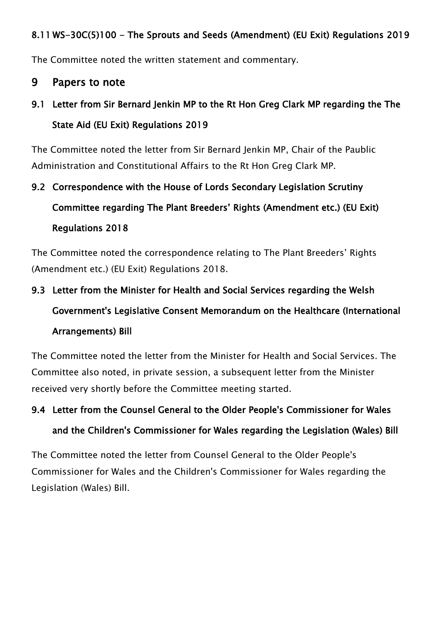#### 8.11 WS-30C(5)100 - The Sprouts and Seeds (Amendment) (EU Exit) Regulations 2019

The Committee noted the written statement and commentary.

#### 9 Papers to note

## 9.1 Letter from Sir Bernard Jenkin MP to the Rt Hon Greg Clark MP regarding the The State Aid (EU Exit) Regulations 2019

The Committee noted the letter from Sir Bernard Jenkin MP, Chair of the Paublic Administration and Constitutional Affairs to the Rt Hon Greg Clark MP.

# 9.2 Correspondence with the House of Lords Secondary Legislation Scrutiny Committee regarding The Plant Breeders' Rights (Amendment etc.) (EU Exit) Regulations 2018

The Committee noted the correspondence relating to The Plant Breeders' Rights (Amendment etc.) (EU Exit) Regulations 2018.

# 9.3 Letter from the Minister for Health and Social Services regarding the Welsh Government's Legislative Consent Memorandum on the Healthcare (International Arrangements) Bill

The Committee noted the letter from the Minister for Health and Social Services. The Committee also noted, in private session, a subsequent letter from the Minister received very shortly before the Committee meeting started.

# 9.4 Letter from the Counsel General to the Older People's Commissioner for Wales and the Children's Commissioner for Wales regarding the Legislation (Wales) Bill

The Committee noted the letter from Counsel General to the Older People's Commissioner for Wales and the Children's Commissioner for Wales regarding the Legislation (Wales) Bill.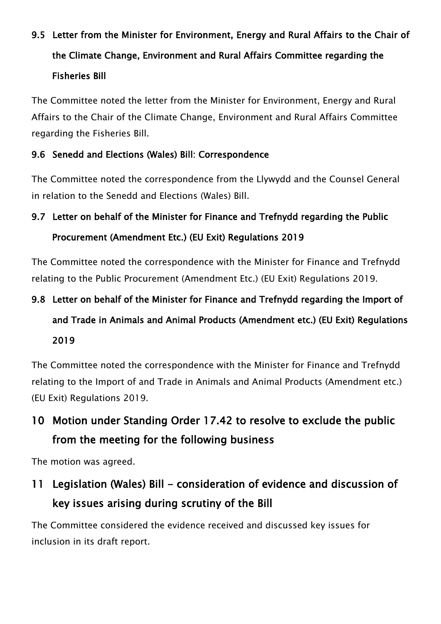# 9.5 Letter from the Minister for Environment, Energy and Rural Affairs to the Chair of the Climate Change, Environment and Rural Affairs Committee regarding the Fisheries Bill

The Committee noted the letter from the Minister for Environment, Energy and Rural Affairs to the Chair of the Climate Change, Environment and Rural Affairs Committee regarding the Fisheries Bill.

#### 9.6 Senedd and Elections (Wales) Bill: Correspondence

The Committee noted the correspondence from the Llywydd and the Counsel General in relation to the Senedd and Elections (Wales) Bill.

## 9.7 Letter on behalf of the Minister for Finance and Trefnydd regarding the Public Procurement (Amendment Etc.) (EU Exit) Regulations 2019

The Committee noted the correspondence with the Minister for Finance and Trefnydd relating to the Public Procurement (Amendment Etc.) (EU Exit) Regulations 2019.

# 9.8 Letter on behalf of the Minister for Finance and Trefnydd regarding the Import of and Trade in Animals and Animal Products (Amendment etc.) (EU Exit) Regulations 2019

The Committee noted the correspondence with the Minister for Finance and Trefnydd relating to the Import of and Trade in Animals and Animal Products (Amendment etc.) (EU Exit) Regulations 2019.

# 10 Motion under Standing Order 17.42 to resolve to exclude the public from the meeting for the following business

The motion was agreed.

# 11 Legislation (Wales) Bill - consideration of evidence and discussion of key issues arising during scrutiny of the Bill

The Committee considered the evidence received and discussed key issues for inclusion in its draft report.